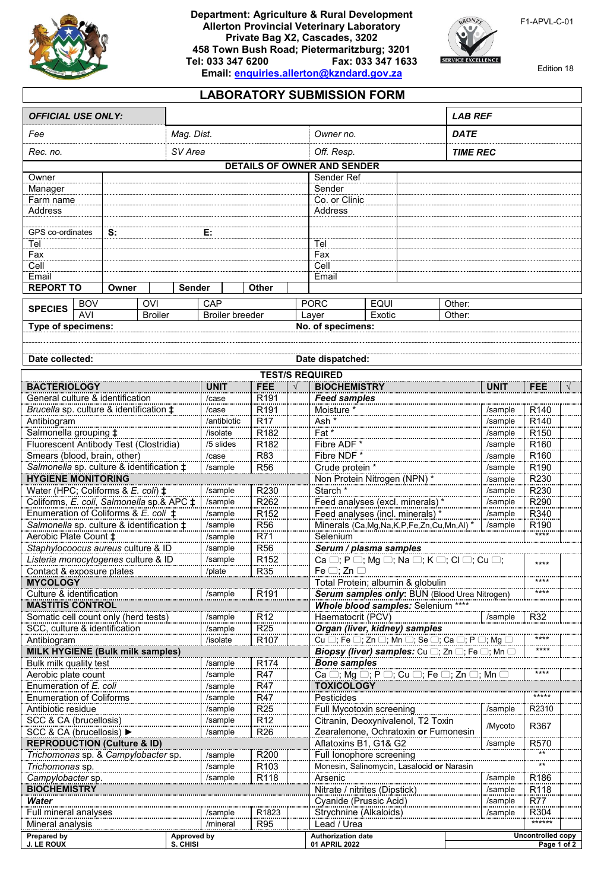

## **Department: Agriculture & Rural Development Allerton Provincial Veterinary Laboratory Private Bag X2, Cascades, 3202 458 Town Bush Road; Pietermaritzburg; 3201 Tel: 033 347 6200 Fax: 033 347 1633 Email: [enquiries.allerton@kzndard.gov.za](mailto:enquiries.allerton@kzndard.gov.za)**



F1-APVL-C-01

Edition 18

## **LABORATORY SUBMISSION FORM**

| <b>OFFICIAL USE ONLY:</b>                                                            |                                                    |                     |                                     |                                                   |                                           |                                                                                                             |                               |                                               | <b>LAB REF</b>   |                          |                                      |  |
|--------------------------------------------------------------------------------------|----------------------------------------------------|---------------------|-------------------------------------|---------------------------------------------------|-------------------------------------------|-------------------------------------------------------------------------------------------------------------|-------------------------------|-----------------------------------------------|------------------|--------------------------|--------------------------------------|--|
| Fee                                                                                  |                                                    |                     | Mag. Dist.                          |                                                   |                                           | Owner no.                                                                                                   |                               |                                               | <b>DATE</b>      |                          |                                      |  |
| SV Area<br>Rec. no.                                                                  |                                                    |                     |                                     | Off. Resp.                                        |                                           |                                                                                                             | <b>TIME REC</b>               |                                               |                  |                          |                                      |  |
|                                                                                      |                                                    |                     |                                     | <b>DETAILS OF OWNER AND SENDER</b>                |                                           |                                                                                                             |                               |                                               |                  |                          |                                      |  |
| Owner                                                                                |                                                    |                     |                                     | Sender Ref                                        |                                           |                                                                                                             |                               |                                               |                  |                          |                                      |  |
| Manager                                                                              |                                                    |                     |                                     |                                                   |                                           | Sender                                                                                                      |                               |                                               |                  |                          |                                      |  |
| Farm name<br><b>Address</b>                                                          |                                                    |                     |                                     | Co. or Clinic<br>Address                          |                                           |                                                                                                             |                               |                                               |                  |                          |                                      |  |
|                                                                                      |                                                    |                     |                                     |                                                   |                                           |                                                                                                             |                               |                                               |                  |                          |                                      |  |
| GPS co-ordinates                                                                     | S:                                                 |                     | E:                                  |                                                   |                                           |                                                                                                             |                               |                                               |                  |                          |                                      |  |
| Tel                                                                                  |                                                    |                     |                                     |                                                   |                                           | Tel                                                                                                         |                               |                                               |                  |                          |                                      |  |
| Fax                                                                                  |                                                    |                     |                                     |                                                   |                                           |                                                                                                             | Fax                           |                                               |                  |                          |                                      |  |
| Cell<br>Email                                                                        |                                                    |                     |                                     |                                                   |                                           | Cell<br>Email                                                                                               |                               |                                               |                  |                          |                                      |  |
| <b>REPORT TO</b><br>Owner                                                            |                                                    |                     | <b>Other</b><br><b>Sender</b>       |                                                   |                                           |                                                                                                             |                               |                                               |                  |                          |                                      |  |
|                                                                                      |                                                    |                     |                                     |                                                   |                                           |                                                                                                             |                               |                                               |                  |                          |                                      |  |
| <b>OVI</b><br><b>BOV</b><br><b>SPECIES</b><br><b>AVI</b>                             |                                                    |                     | CAP                                 |                                                   |                                           | <b>PORC</b><br><b>EQUI</b><br>Exotic<br>Layer                                                               |                               |                                               | Other:<br>Other: |                          |                                      |  |
| <b>Broiler</b><br>Type of specimens:                                                 |                                                    |                     | <b>Broiler breeder</b>              |                                                   |                                           | No. of specimens:                                                                                           |                               |                                               |                  |                          |                                      |  |
|                                                                                      |                                                    |                     |                                     |                                                   |                                           |                                                                                                             |                               |                                               |                  |                          |                                      |  |
|                                                                                      |                                                    |                     |                                     |                                                   |                                           |                                                                                                             |                               |                                               |                  |                          |                                      |  |
| Date collected:                                                                      |                                                    |                     |                                     |                                                   |                                           | Date dispatched:                                                                                            |                               |                                               |                  |                          |                                      |  |
|                                                                                      |                                                    |                     |                                     |                                                   |                                           | <b>TEST/S REQUIRED</b>                                                                                      |                               |                                               |                  |                          |                                      |  |
| <b>BACTERIOLOGY</b>                                                                  |                                                    |                     | <b>UNIT</b>                         | FEE                                               |                                           | <b>BIOCHEMISTRY</b>                                                                                         |                               |                                               |                  | <b>UNIT</b>              | <b>FEE</b>                           |  |
| General culture & identification                                                     |                                                    |                     | /case                               | R <sub>191</sub>                                  |                                           | <b>Feed samples</b>                                                                                         |                               |                                               |                  |                          |                                      |  |
|                                                                                      | Brucella sp. culture & identification $\ddagger$   |                     | /case                               | R191                                              |                                           | Moisture                                                                                                    |                               |                                               |                  | /sample                  | R140                                 |  |
| Antibiogram                                                                          |                                                    |                     | /antibiotic<br>/isolate             | R <sub>17</sub><br>R <sub>182</sub>               |                                           | Ash *<br>$Fat*$                                                                                             |                               |                                               |                  | /sample<br>/sample       | R <sub>140</sub>                     |  |
| Salmonella grouping $\ddagger$<br>Fluorescent Antibody Test (Clostridia)             |                                                    |                     | /5 slides                           | R <sub>182</sub>                                  |                                           | Fibre ADF <sup>3</sup>                                                                                      |                               |                                               |                  | /sample                  | R <sub>150</sub><br>R <sub>160</sub> |  |
| Smears (blood, brain, other)                                                         |                                                    |                     | /case                               | R83                                               |                                           | Fibre NDF <sup>*</sup>                                                                                      |                               |                                               |                  | /sample                  | R <sub>160</sub>                     |  |
|                                                                                      | Salmonella sp. culture & identification $\ddagger$ |                     | /sample                             | <b>R56</b>                                        |                                           | Crude protein *                                                                                             |                               |                                               |                  | /sample                  | R <sub>190</sub>                     |  |
| <b>HYGIENE MONITORING</b>                                                            |                                                    |                     |                                     |                                                   |                                           | Non Protein Nitrogen (NPN) *                                                                                |                               |                                               |                  | /sample                  | R230                                 |  |
| Water (HPC; Coliforms & E. coli) $\ddagger$                                          |                                                    |                     | /sample                             | R230                                              |                                           | Starch <sup>*</sup>                                                                                         |                               |                                               |                  | /sample                  | R230                                 |  |
| Coliforms, E. coli, Salmonella sp.& APC $\ddagger$                                   |                                                    |                     | /sample                             | R <sub>262</sub>                                  |                                           | Feed analyses (excl. minerals)*                                                                             |                               |                                               |                  | /sample                  | R290                                 |  |
| Enumeration of Coliforms & E. coli $\ddagger$                                        |                                                    |                     | /sample                             | R <sub>152</sub>                                  |                                           | Feed analyses (incl. minerals) *<br>/sample                                                                 |                               |                                               |                  |                          | R340                                 |  |
| Salmonella sp. culture & identification $\ddagger$<br>Aerobic Plate Count $\ddagger$ |                                                    |                     | /sample                             | <b>R56</b>                                        |                                           | Minerals (Ca, Mg, Na, K, P, Fe, Zn, Cu, Mn, Al) *<br>/sample                                                |                               |                                               |                  |                          | R <sub>190</sub><br>****             |  |
|                                                                                      | Staphylocoocus aureus culture & ID                 |                     | /sample<br>/sample                  | R71<br><b>R56</b>                                 |                                           | Selenium                                                                                                    |                               |                                               |                  |                          |                                      |  |
| Listeria monocytogenes culture & ID                                                  |                                                    |                     | R <sub>152</sub><br>/sample         |                                                   |                                           | Serum / plasma samples<br>Ca $\Box$ ; P $\Box$ ; Mg $\Box$ ; Na $\Box$ ; K $\Box$ ; Cl $\Box$ ; Cu $\Box$ ; |                               |                                               |                  |                          |                                      |  |
| Contact & exposure plates                                                            | /plate                                             | R <sub>35</sub>     |                                     | Fe $\Box$ ; Zn $\Box$                             |                                           |                                                                                                             | ****                          |                                               |                  |                          |                                      |  |
| <b>MYCOLOGY</b>                                                                      |                                                    |                     |                                     |                                                   |                                           | Total Protein; albumin & globulin                                                                           |                               |                                               |                  |                          |                                      |  |
| Culture & identification                                                             |                                                    |                     | /sample                             | R <sub>191</sub>                                  |                                           |                                                                                                             |                               | Serum samples only: BUN (Blood Urea Nitrogen) |                  |                          |                                      |  |
| <b>MASTITIS CONTROL</b>                                                              |                                                    |                     |                                     |                                                   | <b>Whole blood samples: Selenium ****</b> |                                                                                                             |                               |                                               |                  |                          |                                      |  |
| Somatic cell count only (herd tests)                                                 | /sample                                            | R <sub>12</sub>     |                                     | Haematocrit (PCV)<br>/sample<br>R32               |                                           |                                                                                                             |                               |                                               |                  |                          |                                      |  |
| SCC, culture & identification<br>Antibiogram                                         |                                                    | /sample<br>/isolate | R <sub>25</sub><br>R <sub>107</sub> |                                                   | Organ (liver, kidney) samples             |                                                                                                             |                               |                                               |                  |                          |                                      |  |
| <b>MILK HYGIENE (Bulk milk samples)</b>                                              |                                                    |                     |                                     |                                                   |                                           | Biopsy (liver) samples: Cu  o; Zn  o; Fe  o; Mn  C                                                          |                               |                                               |                  |                          |                                      |  |
| /sample<br>R <sub>174</sub><br>Bulk milk quality test                                |                                                    |                     |                                     |                                                   |                                           | <b>Bone samples</b>                                                                                         |                               |                                               |                  |                          |                                      |  |
| Aerobic plate count                                                                  |                                                    |                     | /sample                             | <b>R47</b>                                        |                                           |                                                                                                             |                               |                                               |                  |                          |                                      |  |
| Enumeration of E. coli                                                               |                                                    |                     | /sample                             | R47                                               |                                           | <b>TOXICOLOGY</b>                                                                                           |                               |                                               |                  |                          |                                      |  |
| <b>Enumeration of Coliforms</b>                                                      |                                                    |                     | /sample                             | <b>R47</b>                                        |                                           | Pesticides                                                                                                  |                               |                                               |                  |                          |                                      |  |
| Antibiotic residue                                                                   |                                                    |                     | /sample                             | R <sub>25</sub>                                   |                                           | Full Mycotoxin screening                                                                                    |                               |                                               |                  | /sample                  | R2310                                |  |
| SCC & CA (brucellosis)<br>SCC & CA (brucellosis) ▶                                   |                                                    |                     | /sample                             | R <sub>12</sub>                                   |                                           | Citranin, Deoxynivalenol, T2 Toxin<br>Zearalenone, Ochratoxin or Fumonesin                                  |                               |                                               |                  | /Mycoto                  | R367                                 |  |
|                                                                                      | <b>REPRODUCTION (Culture &amp; ID)</b>             |                     | /sample                             | R <sub>26</sub>                                   |                                           |                                                                                                             |                               |                                               |                  | /sample                  | R570                                 |  |
| Trichomonas sp. & Campylobacter sp.                                                  | R200<br>/sample                                    |                     |                                     | Aflatoxins B1, G1& G2<br>Full lonophore screening |                                           |                                                                                                             |                               | $***$                                         |                  |                          |                                      |  |
| Trichomonas sp.                                                                      |                                                    |                     | R103<br>/sample                     |                                                   |                                           | Monesin, Salinomycin, Lasalocid or Narasin                                                                  |                               |                                               |                  | $***$                    |                                      |  |
| Campylobacter sp.                                                                    |                                                    |                     | R <sub>118</sub><br>/sample         |                                                   |                                           | Arsenic                                                                                                     |                               |                                               |                  | /sample                  | R <sub>186</sub>                     |  |
| <b>BIOCHEMISTRY</b>                                                                  |                                                    |                     |                                     |                                                   |                                           |                                                                                                             | Nitrate / nitrites (Dipstick) |                                               |                  | /sample                  | R118                                 |  |
| Water                                                                                |                                                    |                     |                                     |                                                   |                                           | Cyanide (Prussic Acid)                                                                                      |                               |                                               |                  | /sample                  | <b>R77</b>                           |  |
| Full mineral analyses                                                                |                                                    |                     | /sample                             | R1823                                             |                                           | Strychnine (Alkaloids)                                                                                      |                               |                                               | /sample          | R304<br>******           |                                      |  |
| Mineral analysis                                                                     |                                                    |                     | /mineral<br>R95                     |                                                   |                                           | Lead / Urea                                                                                                 |                               |                                               |                  | <b>Uncontrolled copy</b> |                                      |  |
| Prepared by<br><b>J. LE ROUX</b>                                                     | Approved by<br>S. CHISI                            |                     |                                     |                                                   |                                           | <b>Authorization date</b><br>01 APRIL 2022                                                                  |                               |                                               | Page 1 of 2      |                          |                                      |  |